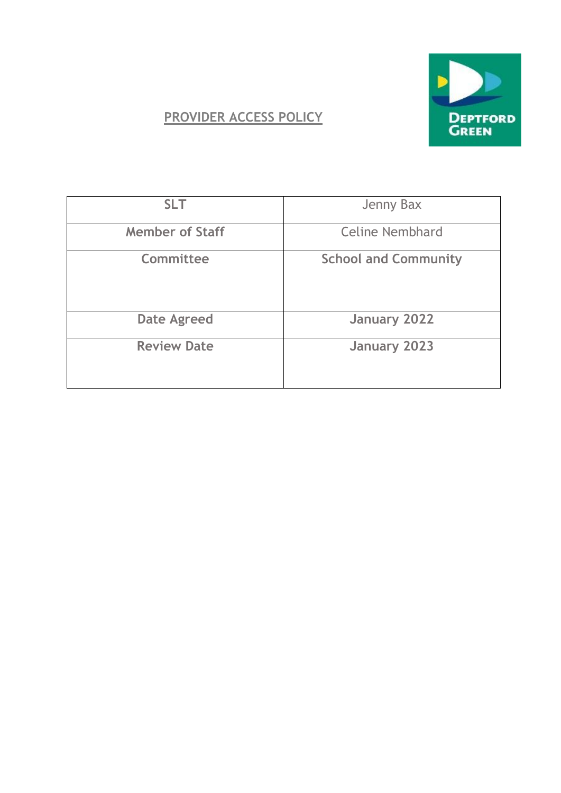

## **PROVIDER ACCESS POLICY**

| <b>SLT</b>             | Jenny Bax                   |
|------------------------|-----------------------------|
| <b>Member of Staff</b> | <b>Celine Nembhard</b>      |
| Committee              | <b>School and Community</b> |
| <b>Date Agreed</b>     | <b>January 2022</b>         |
| <b>Review Date</b>     | <b>January 2023</b>         |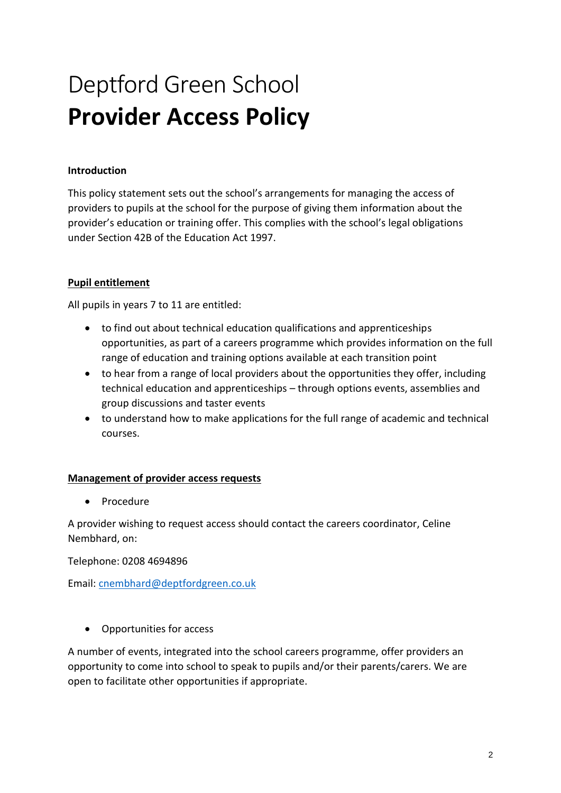# Deptford Green School **Provider Access Policy**

#### **Introduction**

This policy statement sets out the school's arrangements for managing the access of providers to pupils at the school for the purpose of giving them information about the provider's education or training offer. This complies with the school's legal obligations under Section 42B of the Education Act 1997.

### **Pupil entitlement**

All pupils in years 7 to 11 are entitled:

- to find out about technical education qualifications and apprenticeships opportunities, as part of a careers programme which provides information on the full range of education and training options available at each transition point
- to hear from a range of local providers about the opportunities they offer, including technical education and apprenticeships – through options events, assemblies and group discussions and taster events
- to understand how to make applications for the full range of academic and technical courses.

#### **Management of provider access requests**

• Procedure

A provider wishing to request access should contact the careers coordinator, Celine Nembhard, on:

Telephone: 0208 4694896

Email: [cnembhard@deptfordgreen.co.uk](mailto:cnembhard@deptfordgreen.co.uk)

• Opportunities for access

A number of events, integrated into the school careers programme, offer providers an opportunity to come into school to speak to pupils and/or their parents/carers. We are open to facilitate other opportunities if appropriate.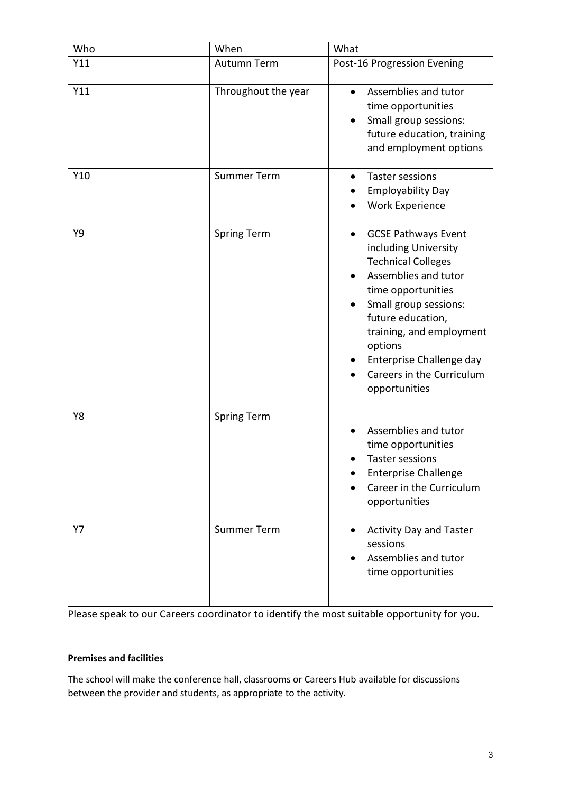| Who | When                | What                                                                                                                                                                                                                                                                                                      |
|-----|---------------------|-----------------------------------------------------------------------------------------------------------------------------------------------------------------------------------------------------------------------------------------------------------------------------------------------------------|
| Y11 | Autumn Term         | Post-16 Progression Evening                                                                                                                                                                                                                                                                               |
| Y11 | Throughout the year | Assemblies and tutor<br>time opportunities<br>Small group sessions:<br>future education, training<br>and employment options                                                                                                                                                                               |
| Y10 | <b>Summer Term</b>  | Taster sessions<br>$\bullet$<br><b>Employability Day</b><br><b>Work Experience</b>                                                                                                                                                                                                                        |
| Υ9  | <b>Spring Term</b>  | <b>GCSE Pathways Event</b><br>$\bullet$<br>including University<br><b>Technical Colleges</b><br>Assemblies and tutor<br>time opportunities<br>Small group sessions:<br>future education,<br>training, and employment<br>options<br>Enterprise Challenge day<br>Careers in the Curriculum<br>opportunities |
| Y8  | <b>Spring Term</b>  | Assemblies and tutor<br>time opportunities<br>Taster sessions<br><b>Enterprise Challenge</b><br>Career in the Curriculum<br>opportunities                                                                                                                                                                 |
| Y7  | <b>Summer Term</b>  | <b>Activity Day and Taster</b><br>$\bullet$<br>sessions<br>Assemblies and tutor<br>time opportunities                                                                                                                                                                                                     |

Please speak to our Careers coordinator to identify the most suitable opportunity for you.

### **Premises and facilities**

The school will make the conference hall, classrooms or Careers Hub available for discussions between the provider and students, as appropriate to the activity.